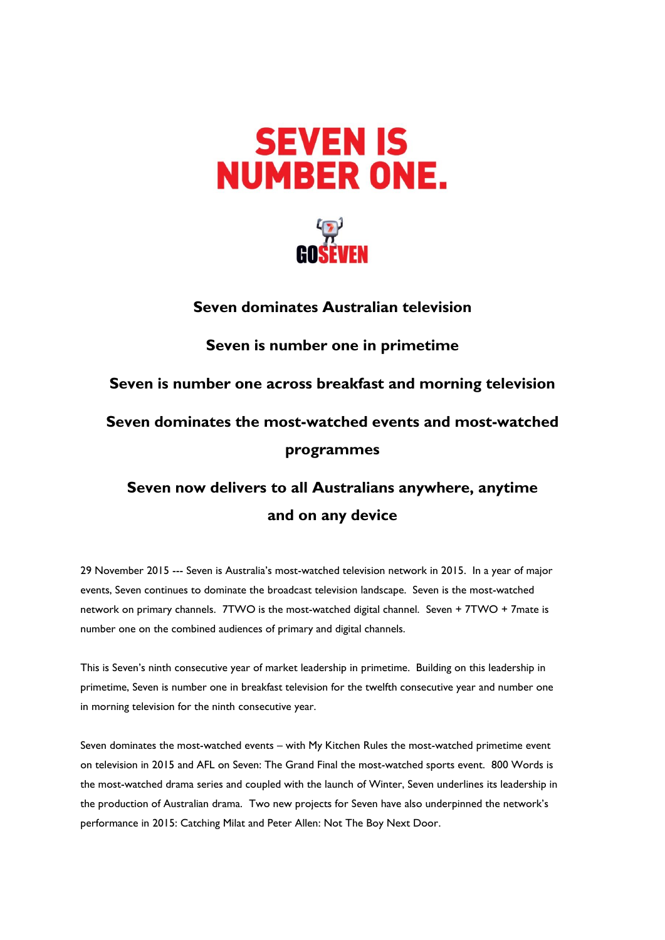



## **Seven dominates Australian television**

## **Seven is number one in primetime**

**Seven is number one across breakfast and morning television**

# **Seven dominates the most-watched events and most-watched programmes**

# **Seven now delivers to all Australians anywhere, anytime and on any device**

29 November 2015 --- Seven is Australia's most-watched television network in 2015. In a year of major events, Seven continues to dominate the broadcast television landscape. Seven is the most-watched network on primary channels. 7TWO is the most-watched digital channel. Seven + 7TWO + 7mate is number one on the combined audiences of primary and digital channels.

This is Seven's ninth consecutive year of market leadership in primetime. Building on this leadership in primetime, Seven is number one in breakfast television for the twelfth consecutive year and number one in morning television for the ninth consecutive year.

Seven dominates the most-watched events – with My Kitchen Rules the most-watched primetime event on television in 2015 and AFL on Seven: The Grand Final the most-watched sports event. 800 Words is the most-watched drama series and coupled with the launch of Winter, Seven underlines its leadership in the production of Australian drama. Two new projects for Seven have also underpinned the network's performance in 2015: Catching Milat and Peter Allen: Not The Boy Next Door.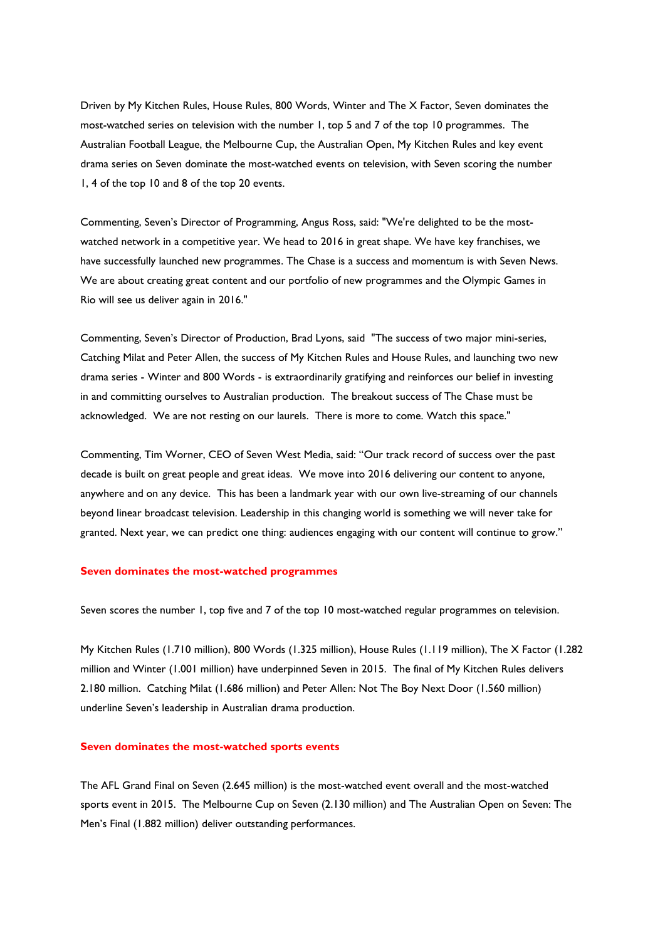Driven by My Kitchen Rules, House Rules, 800 Words, Winter and The X Factor, Seven dominates the most-watched series on television with the number 1, top 5 and 7 of the top 10 programmes. The Australian Football League, the Melbourne Cup, the Australian Open, My Kitchen Rules and key event drama series on Seven dominate the most-watched events on television, with Seven scoring the number 1, 4 of the top 10 and 8 of the top 20 events.

Commenting, Seven's Director of Programming, Angus Ross, said: "We're delighted to be the mostwatched network in a competitive year. We head to 2016 in great shape. We have key franchises, we have successfully launched new programmes. The Chase is a success and momentum is with Seven News. We are about creating great content and our portfolio of new programmes and the Olympic Games in Rio will see us deliver again in 2016."

Commenting, Seven's Director of Production, Brad Lyons, said "The success of two major mini-series, Catching Milat and Peter Allen, the success of My Kitchen Rules and House Rules, and launching two new drama series - Winter and 800 Words - is extraordinarily gratifying and reinforces our belief in investing in and committing ourselves to Australian production. The breakout success of The Chase must be acknowledged. We are not resting on our laurels. There is more to come. Watch this space."

Commenting, Tim Worner, CEO of Seven West Media, said: "Our track record of success over the past decade is built on great people and great ideas. We move into 2016 delivering our content to anyone, anywhere and on any device. This has been a landmark year with our own live-streaming of our channels beyond linear broadcast television. Leadership in this changing world is something we will never take for granted. Next year, we can predict one thing: audiences engaging with our content will continue to grow."

#### **Seven dominates the most-watched programmes**

Seven scores the number 1, top five and 7 of the top 10 most-watched regular programmes on television.

My Kitchen Rules (1.710 million), 800 Words (1.325 million), House Rules (1.119 million), The X Factor (1.282 million and Winter (1.001 million) have underpinned Seven in 2015. The final of My Kitchen Rules delivers 2.180 million. Catching Milat (1.686 million) and Peter Allen: Not The Boy Next Door (1.560 million) underline Seven's leadership in Australian drama production.

#### **Seven dominates the most-watched sports events**

The AFL Grand Final on Seven (2.645 million) is the most-watched event overall and the most-watched sports event in 2015. The Melbourne Cup on Seven (2.130 million) and The Australian Open on Seven: The Men's Final (1.882 million) deliver outstanding performances.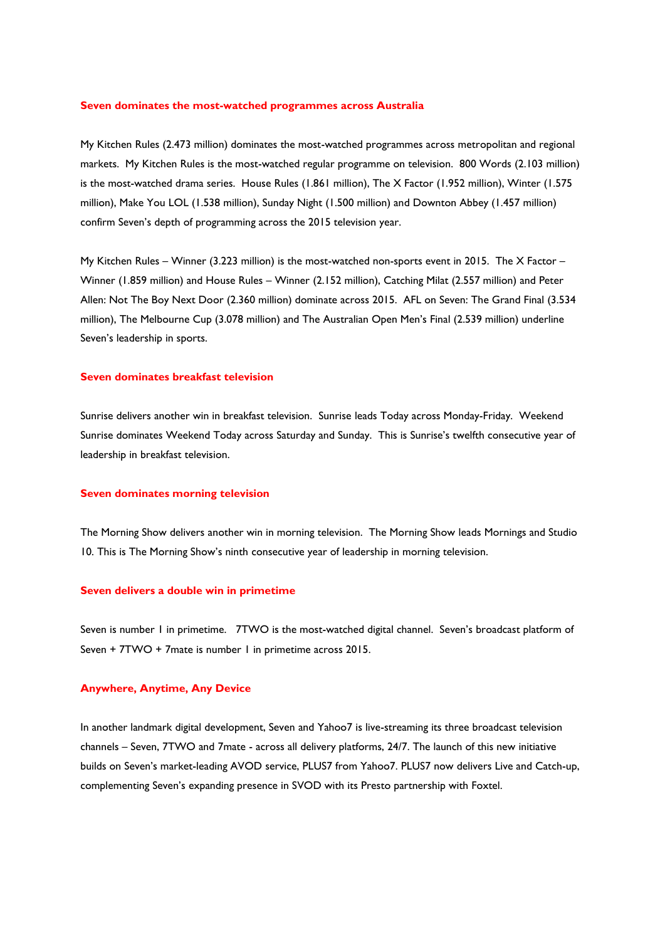#### **Seven dominates the most-watched programmes across Australia**

My Kitchen Rules (2.473 million) dominates the most-watched programmes across metropolitan and regional markets. My Kitchen Rules is the most-watched regular programme on television. 800 Words (2.103 million) is the most-watched drama series. House Rules (1.861 million), The X Factor (1.952 million), Winter (1.575 million), Make You LOL (1.538 million), Sunday Night (1.500 million) and Downton Abbey (1.457 million) confirm Seven's depth of programming across the 2015 television year.

My Kitchen Rules – Winner (3.223 million) is the most-watched non-sports event in 2015. The X Factor – Winner (1.859 million) and House Rules – Winner (2.152 million), Catching Milat (2.557 million) and Peter Allen: Not The Boy Next Door (2.360 million) dominate across 2015. AFL on Seven: The Grand Final (3.534 million), The Melbourne Cup (3.078 million) and The Australian Open Men's Final (2.539 million) underline Seven's leadership in sports.

#### **Seven dominates breakfast television**

Sunrise delivers another win in breakfast television. Sunrise leads Today across Monday-Friday. Weekend Sunrise dominates Weekend Today across Saturday and Sunday. This is Sunrise's twelfth consecutive year of leadership in breakfast television.

#### **Seven dominates morning television**

The Morning Show delivers another win in morning television. The Morning Show leads Mornings and Studio 10. This is The Morning Show's ninth consecutive year of leadership in morning television.

#### **Seven delivers a double win in primetime**

Seven is number 1 in primetime. 7TWO is the most-watched digital channel. Seven's broadcast platform of Seven + 7TWO + 7mate is number 1 in primetime across 2015.

#### **Anywhere, Anytime, Any Device**

In another landmark digital development, Seven and Yahoo7 is live-streaming its three broadcast television channels – Seven, 7TWO and 7mate - across all delivery platforms, 24/7. The launch of this new initiative builds on Seven's market-leading AVOD service, PLUS7 from Yahoo7. PLUS7 now delivers Live and Catch-up, complementing Seven's expanding presence in SVOD with its Presto partnership with Foxtel.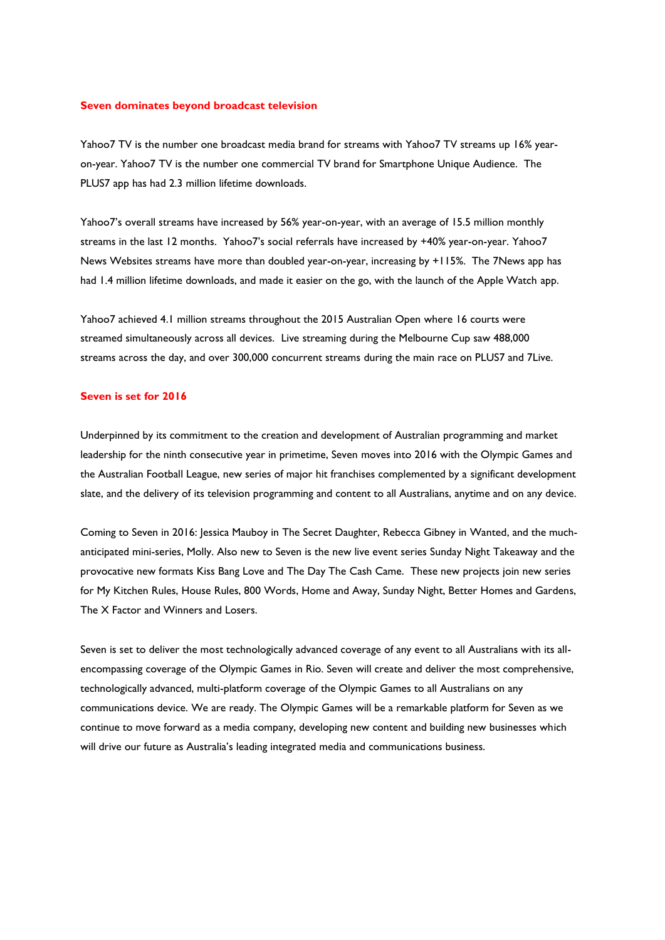#### **Seven dominates beyond broadcast television**

Yahoo7 TV is the number one broadcast media brand for streams with Yahoo7 TV streams up 16% yearon-year. Yahoo7 TV is the number one commercial TV brand for Smartphone Unique Audience. The PLUS7 app has had 2.3 million lifetime downloads.

Yahoo7's overall streams have increased by 56% year-on-year, with an average of 15.5 million monthly streams in the last 12 months. Yahoo7's social referrals have increased by +40% year-on-year. Yahoo7 News Websites streams have more than doubled year-on-year, increasing by +115%. The 7News app has had 1.4 million lifetime downloads, and made it easier on the go, with the launch of the Apple Watch app.

Yahoo7 achieved 4.1 million streams throughout the 2015 Australian Open where 16 courts were streamed simultaneously across all devices. Live streaming during the Melbourne Cup saw 488,000 streams across the day, and over 300,000 concurrent streams during the main race on PLUS7 and 7Live.

#### **Seven is set for 2016**

Underpinned by its commitment to the creation and development of Australian programming and market leadership for the ninth consecutive year in primetime, Seven moves into 2016 with the Olympic Games and the Australian Football League, new series of major hit franchises complemented by a significant development slate, and the delivery of its television programming and content to all Australians, anytime and on any device.

Coming to Seven in 2016: Jessica Mauboy in The Secret Daughter, Rebecca Gibney in Wanted, and the muchanticipated mini-series, Molly. Also new to Seven is the new live event series Sunday Night Takeaway and the provocative new formats Kiss Bang Love and The Day The Cash Came. These new projects join new series for My Kitchen Rules, House Rules, 800 Words, Home and Away, Sunday Night, Better Homes and Gardens, The X Factor and Winners and Losers.

Seven is set to deliver the most technologically advanced coverage of any event to all Australians with its allencompassing coverage of the Olympic Games in Rio. Seven will create and deliver the most comprehensive, technologically advanced, multi-platform coverage of the Olympic Games to all Australians on any communications device. We are ready. The Olympic Games will be a remarkable platform for Seven as we continue to move forward as a media company, developing new content and building new businesses which will drive our future as Australia's leading integrated media and communications business.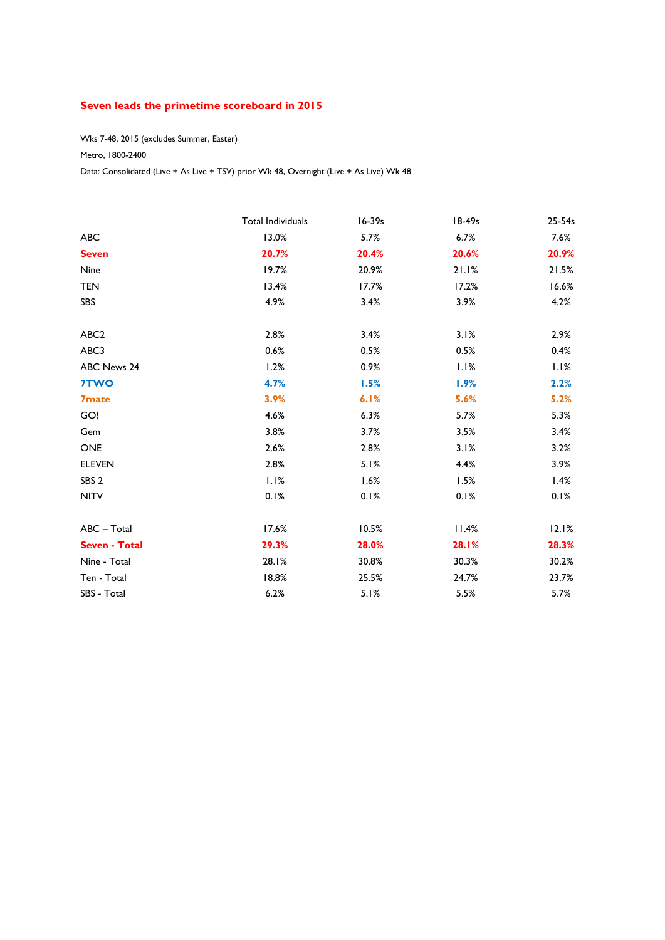## **Seven leads the primetime scoreboard in 2015**

Wks 7-48, 2015 (excludes Summer, Easter)

### Metro, 1800-2400

Data: Consolidated (Live + As Live + TSV) prior Wk 48, Overnight (Live + As Live) Wk 48

|                      | Total Individuals | $16 - 39s$ | 18-49s | 25-54s |
|----------------------|-------------------|------------|--------|--------|
| <b>ABC</b>           | 13.0%             | 5.7%       | 6.7%   | 7.6%   |
| <b>Seven</b>         | 20.7%             | 20.4%      | 20.6%  | 20.9%  |
| Nine                 | 19.7%             | 20.9%      | 21.1%  | 21.5%  |
| <b>TEN</b>           | 13.4%             | 17.7%      | 17.2%  | 16.6%  |
| SBS                  | 4.9%              | 3.4%       | 3.9%   | 4.2%   |
| ABC <sub>2</sub>     | 2.8%              | 3.4%       | 3.1%   | 2.9%   |
| ABC3                 | 0.6%              | 0.5%       | 0.5%   | 0.4%   |
| ABC News 24          | 1.2%              | 0.9%       | 1.1%   | 1.1%   |
| 7TWO                 | 4.7%              | 1.5%       | 1.9%   | 2.2%   |
| <b>7mate</b>         | 3.9%              | 6.1%       | 5.6%   | 5.2%   |
| GO!                  | 4.6%              | 6.3%       | 5.7%   | 5.3%   |
| Gem                  | 3.8%              | 3.7%       | 3.5%   | 3.4%   |
| <b>ONE</b>           | 2.6%              | 2.8%       | 3.1%   | 3.2%   |
| <b>ELEVEN</b>        | 2.8%              | 5.1%       | 4.4%   | 3.9%   |
| SBS <sub>2</sub>     | 1.1%              | 1.6%       | 1.5%   | 1.4%   |
| <b>NITV</b>          | 0.1%              | 0.1%       | 0.1%   | 0.1%   |
| ABC - Total          | 17.6%             | 10.5%      | 11.4%  | 12.1%  |
| <b>Seven - Total</b> | 29.3%             | 28.0%      | 28.1%  | 28.3%  |
| Nine - Total         | 28.1%             | 30.8%      | 30.3%  | 30.2%  |
| Ten - Total          | 18.8%             | 25.5%      | 24.7%  | 23.7%  |
| SBS - Total          | 6.2%              | 5.1%       | 5.5%   | 5.7%   |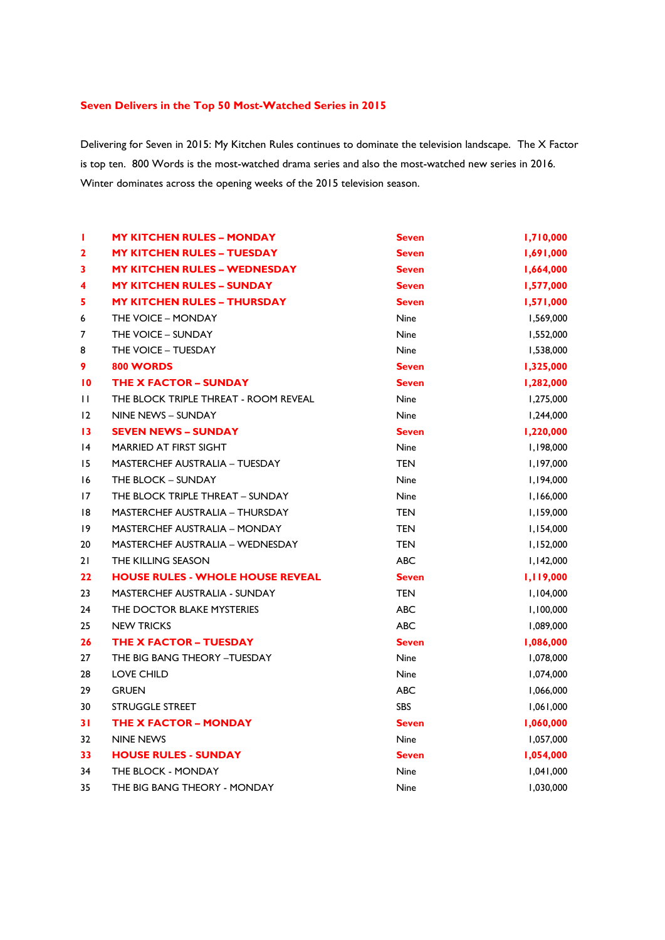## **Seven Delivers in the Top 50 Most-Watched Series in 2015**

Delivering for Seven in 2015: My Kitchen Rules continues to dominate the television landscape. The X Factor is top ten. 800 Words is the most-watched drama series and also the most-watched new series in 2016. Winter dominates across the opening weeks of the 2015 television season.

| Ţ               | <b>MY KITCHEN RULES - MONDAY</b>        | <b>Seven</b> | 1,710,000 |
|-----------------|-----------------------------------------|--------------|-----------|
| $\mathbf{2}$    | <b>MY KITCHEN RULES - TUESDAY</b>       | <b>Seven</b> | 1,691,000 |
| 3               | <b>MY KITCHEN RULES - WEDNESDAY</b>     | <b>Seven</b> | 1,664,000 |
| 4               | <b>MY KITCHEN RULES - SUNDAY</b>        | <b>Seven</b> | 1,577,000 |
| 5               | <b>MY KITCHEN RULES - THURSDAY</b>      | <b>Seven</b> | 1,571,000 |
| 6               | THE VOICE - MONDAY                      | Nine         | 1,569,000 |
| 7               | THE VOICE - SUNDAY                      | Nine         | 1,552,000 |
| 8               | THE VOICE - TUESDAY                     | <b>Nine</b>  | 1,538,000 |
| 9               | 800 WORDS                               | <b>Seven</b> | 1,325,000 |
| $\overline{10}$ | <b>THE X FACTOR - SUNDAY</b>            | <b>Seven</b> | 1,282,000 |
| $\mathbf{H}$    | THE BLOCK TRIPLE THREAT - ROOM REVEAL   | Nine         | 1,275,000 |
| 12              | NINE NEWS - SUNDAY                      | <b>Nine</b>  | 1,244,000 |
| 13              | <b>SEVEN NEWS - SUNDAY</b>              | <b>Seven</b> | 1,220,000 |
| 4               | <b>MARRIED AT FIRST SIGHT</b>           | <b>Nine</b>  | 1,198,000 |
| 15              | <b>MASTERCHEF AUSTRALIA - TUESDAY</b>   | <b>TEN</b>   | 1,197,000 |
| 16              | THE BLOCK - SUNDAY                      | Nine         | 1,194,000 |
| 17              | THE BLOCK TRIPLE THREAT - SUNDAY        | Nine         | 1,166,000 |
| 18              | <b>MASTERCHEF AUSTRALIA - THURSDAY</b>  | <b>TEN</b>   | 1,159,000 |
| 19              | <b>MASTERCHEF AUSTRALIA - MONDAY</b>    | <b>TEN</b>   | 1,154,000 |
| 20              | <b>MASTERCHEF AUSTRALIA - WEDNESDAY</b> | <b>TEN</b>   | 1,152,000 |
| 21              | THE KILLING SEASON                      | <b>ABC</b>   | 1,142,000 |
| 22              | <b>HOUSE RULES - WHOLE HOUSE REVEAL</b> | <b>Seven</b> | 1,119,000 |
| 23              | <b>MASTERCHEF AUSTRALIA - SUNDAY</b>    | <b>TEN</b>   | 1,104,000 |
| 24              | THE DOCTOR BLAKE MYSTERIES              | <b>ABC</b>   | 1,100,000 |
| 25              | <b>NEW TRICKS</b>                       | <b>ABC</b>   | 1,089,000 |
| 26              | THE X FACTOR - TUESDAY                  | <b>Seven</b> | 1,086,000 |
| 27              | THE BIG BANG THEORY - TUESDAY           | <b>Nine</b>  | 1,078,000 |
| 28              | <b>LOVE CHILD</b>                       | Nine         | 1,074,000 |
| 29              | <b>GRUEN</b>                            | <b>ABC</b>   | 1,066,000 |
| 30              | <b>STRUGGLE STREET</b>                  | SBS          | 1,061,000 |
| 31              | <b>THE X FACTOR - MONDAY</b>            | <b>Seven</b> | 1,060,000 |
| 32              | <b>NINE NEWS</b>                        | <b>Nine</b>  | 1,057,000 |
| 33              | <b>HOUSE RULES - SUNDAY</b>             | <b>Seven</b> | 1,054,000 |
| 34              | THE BLOCK - MONDAY                      | Nine         | 1,041,000 |
| 35              | THE BIG BANG THEORY - MONDAY            | Nine         | 1,030,000 |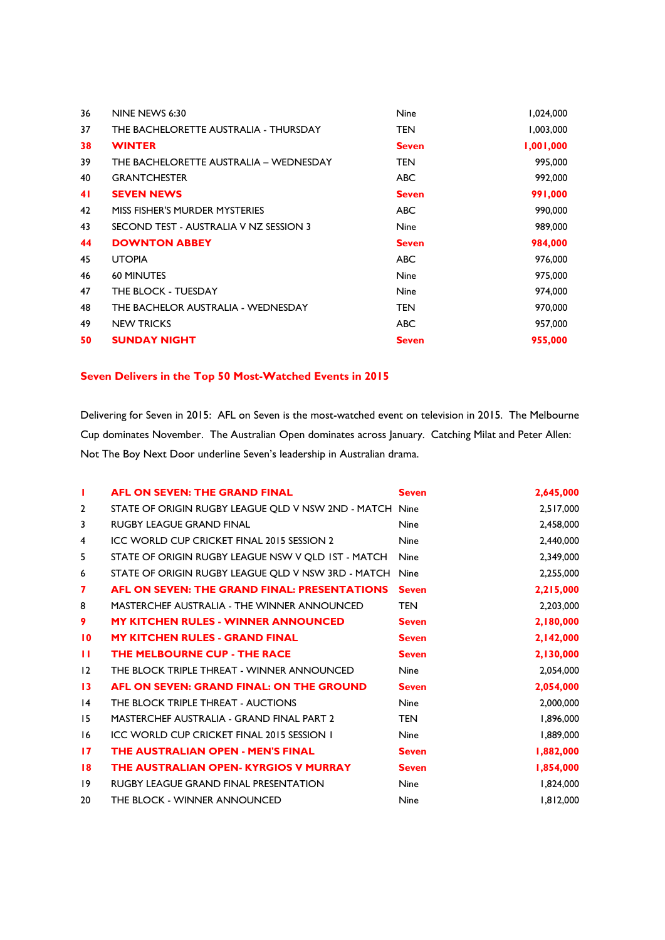| 36 | NINE NEWS 6:30                         | <b>Nine</b>  | 1,024,000 |
|----|----------------------------------------|--------------|-----------|
| 37 | THE BACHELORETTE AUSTRALIA - THURSDAY  | <b>TEN</b>   | 1,003,000 |
| 38 | <b>WINTER</b>                          | <b>Seven</b> | 1,001,000 |
| 39 | THE BACHELORETTE AUSTRALIA - WEDNESDAY | <b>TEN</b>   | 995,000   |
| 40 | <b>GRANTCHESTER</b>                    | ABC          | 992,000   |
| 41 | <b>SEVEN NEWS</b>                      | <b>Seven</b> | 991,000   |
| 42 | MISS FISHER'S MURDER MYSTERIES         | <b>ABC</b>   | 990,000   |
| 43 | SECOND TEST - AUSTRALIA V NZ SESSION 3 | <b>Nine</b>  | 989,000   |
| 44 | <b>DOWNTON ABBEY</b>                   | <b>Seven</b> | 984,000   |
| 45 | <b>UTOPIA</b>                          | <b>ABC</b>   | 976,000   |
| 46 | <b>60 MINUTES</b>                      | <b>Nine</b>  | 975,000   |
| 47 | THE BLOCK - TUESDAY                    | <b>Nine</b>  | 974,000   |
| 48 | THE BACHELOR AUSTRALIA - WEDNESDAY     | <b>TEN</b>   | 970,000   |
| 49 | <b>NEW TRICKS</b>                      | <b>ABC</b>   | 957,000   |
| 50 | <b>SUNDAY NIGHT</b>                    | <b>Seven</b> | 955,000   |

## **Seven Delivers in the Top 50 Most-Watched Events in 2015**

Delivering for Seven in 2015: AFL on Seven is the most-watched event on television in 2015. The Melbourne Cup dominates November. The Australian Open dominates across January. Catching Milat and Peter Allen: Not The Boy Next Door underline Seven's leadership in Australian drama.

| ш               | <b>AFL ON SEVEN: THE GRAND FINAL</b>                    | <b>Seven</b> | 2,645,000 |
|-----------------|---------------------------------------------------------|--------------|-----------|
| $\overline{2}$  | STATE OF ORIGIN RUGBY LEAGUE QLD V NSW 2ND - MATCH Nine |              | 2,517,000 |
| 3               | RUGBY LEAGUE GRAND FINAL                                | <b>Nine</b>  | 2,458,000 |
| 4               | ICC WORLD CUP CRICKET FINAL 2015 SESSION 2              | <b>Nine</b>  | 2,440,000 |
| 5               | STATE OF ORIGIN RUGBY LEAGUE NSW V OLD IST - MATCH      | <b>Nine</b>  | 2,349,000 |
| 6               | STATE OF ORIGIN RUGBY LEAGUE QLD V NSW 3RD - MATCH      | Nine         | 2,255,000 |
| 7               | <b>AFL ON SEVEN: THE GRAND FINAL: PRESENTATIONS</b>     | <b>Seven</b> | 2,215,000 |
| 8               | MASTERCHEF AUSTRALIA - THE WINNER ANNOUNCED             | <b>TEN</b>   | 2,203,000 |
| 9               | <b>MY KITCHEN RULES - WINNER ANNOUNCED</b>              | <b>Seven</b> | 2,180,000 |
| $\overline{10}$ | <b>MY KITCHEN RULES - GRAND FINAL</b>                   | <b>Seven</b> | 2,142,000 |
| п               | THE MELBOURNE CUP - THE RACE                            | <b>Seven</b> | 2,130,000 |
| 12              | THE BLOCK TRIPLE THREAT - WINNER ANNOUNCED              | <b>Nine</b>  | 2,054,000 |
| 13              | AFL ON SEVEN: GRAND FINAL: ON THE GROUND                | <b>Seven</b> | 2,054,000 |
| $\overline{14}$ | THE BLOCK TRIPLE THREAT - AUCTIONS                      | <b>Nine</b>  | 2,000,000 |
| 15              | <b>MASTERCHEF AUSTRALIA - GRAND FINAL PART 2</b>        | <b>TEN</b>   | 1,896,000 |
| 16              | <b>ICC WORLD CUP CRICKET FINAL 2015 SESSION I</b>       | <b>Nine</b>  | 1,889,000 |
| $\mathbf{17}$   | THE AUSTRALIAN OPEN - MEN'S FINAL                       | <b>Seven</b> | 1,882,000 |
| 18              | THE AUSTRALIAN OPEN- KYRGIOS V MURRAY                   | <b>Seven</b> | 1,854,000 |
| 19              | <b>RUGBY LEAGUE GRAND FINAL PRESENTATION</b>            | <b>Nine</b>  | 1,824,000 |
| 20              | THE BLOCK - WINNER ANNOUNCED                            | <b>Nine</b>  | 1,812,000 |
|                 |                                                         |              |           |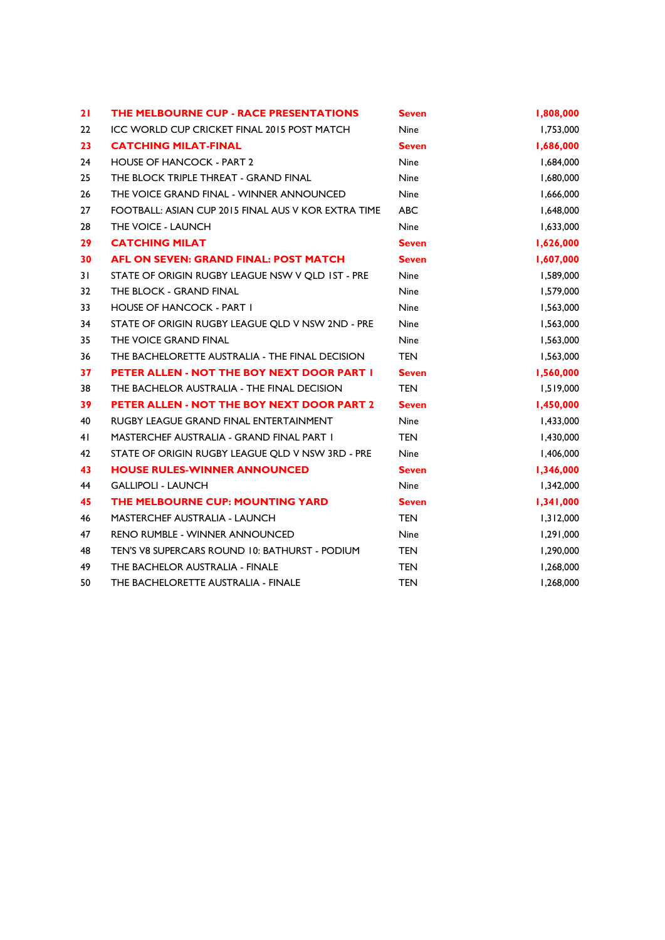| 21 | THE MELBOURNE CUP - RACE PRESENTATIONS              | <b>Seven</b> | 1,808,000 |
|----|-----------------------------------------------------|--------------|-----------|
| 22 | <b>ICC WORLD CUP CRICKET FINAL 2015 POST MATCH</b>  | <b>Nine</b>  | 1,753,000 |
| 23 | <b>CATCHING MILAT-FINAL</b>                         | <b>Seven</b> | 1,686,000 |
| 24 | <b>HOUSE OF HANCOCK - PART 2</b>                    | <b>Nine</b>  | 1,684,000 |
| 25 | THE BLOCK TRIPLE THREAT - GRAND FINAL               | <b>Nine</b>  | 1,680,000 |
| 26 | THE VOICE GRAND FINAL - WINNER ANNOUNCED            | <b>Nine</b>  | 1,666,000 |
| 27 | FOOTBALL: ASIAN CUP 2015 FINAL AUS V KOR EXTRA TIME | <b>ABC</b>   | 1,648,000 |
| 28 | THE VOICE - LAUNCH                                  | <b>Nine</b>  | 1,633,000 |
| 29 | <b>CATCHING MILAT</b>                               | <b>Seven</b> | 1,626,000 |
| 30 | <b>AFL ON SEVEN: GRAND FINAL: POST MATCH</b>        | <b>Seven</b> | 1,607,000 |
| 31 | STATE OF ORIGIN RUGBY LEAGUE NSW V QLD IST - PRE    | Nine         | 1,589,000 |
| 32 | THE BLOCK - GRAND FINAL                             | <b>Nine</b>  | 1,579,000 |
| 33 | <b>HOUSE OF HANCOCK - PART I</b>                    | <b>Nine</b>  | 1,563,000 |
| 34 | STATE OF ORIGIN RUGBY LEAGUE QLD V NSW 2ND - PRE    | <b>Nine</b>  | 1,563,000 |
| 35 | THE VOICE GRAND FINAL                               | Nine         | 1,563,000 |
| 36 | THE BACHELORETTE AUSTRALIA - THE FINAL DECISION     | <b>TEN</b>   | 1,563,000 |
| 37 | PETER ALLEN - NOT THE BOY NEXT DOOR PART I          | <b>Seven</b> | 1,560,000 |
| 38 | THE BACHELOR AUSTRALIA - THE FINAL DECISION         | <b>TEN</b>   | 1,519,000 |
| 39 | PETER ALLEN - NOT THE BOY NEXT DOOR PART 2          | <b>Seven</b> | 1,450,000 |
| 40 | RUGBY LEAGUE GRAND FINAL ENTERTAINMENT              | Nine         | 1,433,000 |
| 41 | <b>MASTERCHEF AUSTRALIA - GRAND FINAL PART I</b>    | <b>TEN</b>   | 1,430,000 |
| 42 | STATE OF ORIGIN RUGBY LEAGUE QLD V NSW 3RD - PRE    | <b>Nine</b>  | 1,406,000 |
| 43 | <b>HOUSE RULES-WINNER ANNOUNCED</b>                 | <b>Seven</b> | 1,346,000 |
| 44 | <b>GALLIPOLI - LAUNCH</b>                           | Nine         | 1,342,000 |
| 45 | THE MELBOURNE CUP: MOUNTING YARD                    | <b>Seven</b> | 1,341,000 |
| 46 | <b>MASTERCHEF AUSTRALIA - LAUNCH</b>                | <b>TEN</b>   | 1,312,000 |
| 47 | <b>RENO RUMBLE - WINNER ANNOUNCED</b>               | Nine         | 1,291,000 |
| 48 | TEN'S V8 SUPERCARS ROUND 10: BATHURST - PODIUM      | <b>TEN</b>   | 1,290,000 |
| 49 | THE BACHELOR AUSTRALIA - FINALE                     | <b>TEN</b>   | 1,268,000 |
| 50 | THE BACHELORETTE AUSTRALIA - FINALE                 | <b>TEN</b>   | 1,268,000 |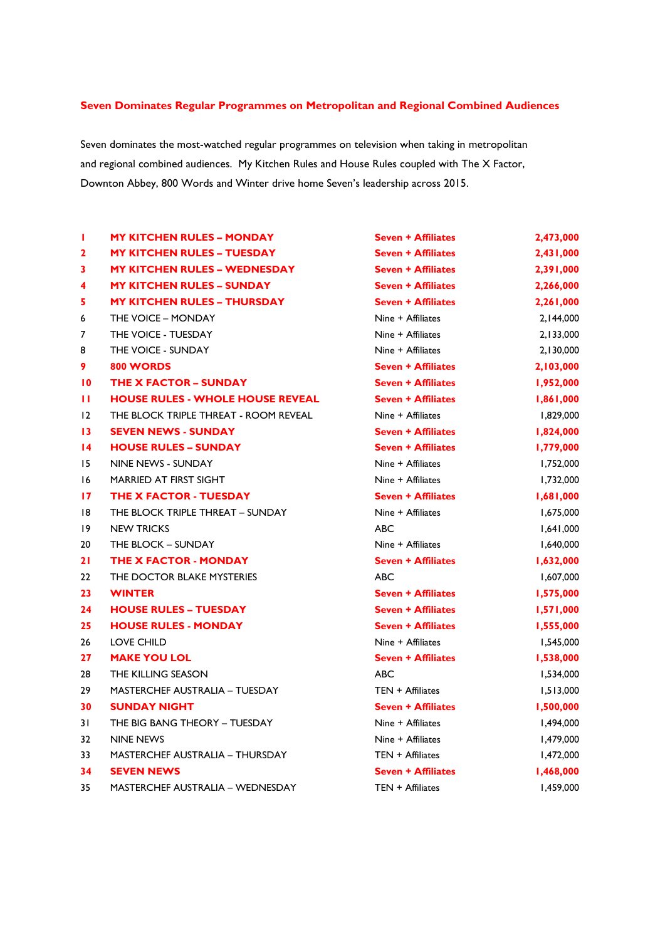## **Seven Dominates Regular Programmes on Metropolitan and Regional Combined Audiences**

Seven dominates the most-watched regular programmes on television when taking in metropolitan and regional combined audiences. My Kitchen Rules and House Rules coupled with The X Factor, Downton Abbey, 800 Words and Winter drive home Seven's leadership across 2015.

| т               | <b>MY KITCHEN RULES - MONDAY</b>        | <b>Seven + Affiliates</b> | 2,473,000 |
|-----------------|-----------------------------------------|---------------------------|-----------|
| $\mathbf{2}$    | <b>MY KITCHEN RULES - TUESDAY</b>       | <b>Seven + Affiliates</b> | 2,431,000 |
| 3               | <b>MY KITCHEN RULES - WEDNESDAY</b>     | <b>Seven + Affiliates</b> | 2,391,000 |
| 4               | <b>MY KITCHEN RULES – SUNDAY</b>        | <b>Seven + Affiliates</b> | 2,266,000 |
| 5               | <b>MY KITCHEN RULES - THURSDAY</b>      | <b>Seven + Affiliates</b> | 2,261,000 |
| 6               | THE VOICE - MONDAY                      | Nine + Affiliates         | 2,144,000 |
| 7               | THE VOICE - TUESDAY                     | Nine + Affiliates         | 2,133,000 |
| 8               | THE VOICE - SUNDAY                      | Nine + Affiliates         | 2,130,000 |
| 9               | 800 WORDS                               | <b>Seven + Affiliates</b> | 2,103,000 |
| $\overline{10}$ | <b>THE X FACTOR - SUNDAY</b>            | <b>Seven + Affiliates</b> | 1,952,000 |
| п               | <b>HOUSE RULES - WHOLE HOUSE REVEAL</b> | <b>Seven + Affiliates</b> | 1,861,000 |
| 12              | THE BLOCK TRIPLE THREAT - ROOM REVEAL   | Nine + Affiliates         | 1,829,000 |
| $\overline{13}$ | <b>SEVEN NEWS - SUNDAY</b>              | <b>Seven + Affiliates</b> | 1,824,000 |
| $\overline{14}$ | <b>HOUSE RULES - SUNDAY</b>             | <b>Seven + Affiliates</b> | 1,779,000 |
| 15              | NINE NEWS - SUNDAY                      | Nine + Affiliates         | 1,752,000 |
| 16              | MARRIED AT FIRST SIGHT                  | Nine + Affiliates         | 1,732,000 |
| 17              | <b>THE X FACTOR - TUESDAY</b>           | <b>Seven + Affiliates</b> | 1,681,000 |
| 8               | THE BLOCK TRIPLE THREAT - SUNDAY        | Nine + Affiliates         | 1,675,000 |
| 19              | <b>NEW TRICKS</b>                       | <b>ABC</b>                | 1,641,000 |
| 20              | THE BLOCK - SUNDAY                      | Nine + Affiliates         | 1,640,000 |
| 21              | THE X FACTOR - MONDAY                   | <b>Seven + Affiliates</b> | 1,632,000 |
| 22              | THE DOCTOR BLAKE MYSTERIES              | <b>ABC</b>                | 1,607,000 |
| 23              | <b>WINTER</b>                           | <b>Seven + Affiliates</b> | 1,575,000 |
| 24              | <b>HOUSE RULES - TUESDAY</b>            | <b>Seven + Affiliates</b> | 1,571,000 |
| 25              | <b>HOUSE RULES - MONDAY</b>             | <b>Seven + Affiliates</b> | 1,555,000 |
| 26              | <b>LOVE CHILD</b>                       | Nine + Affiliates         | 1,545,000 |
| 27              | <b>MAKE YOU LOL</b>                     | <b>Seven + Affiliates</b> | 1,538,000 |
| 28              | <b>THE KILLING SEASON</b>               | <b>ABC</b>                | 1,534,000 |
| 29              | <b>MASTERCHEF AUSTRALIA - TUESDAY</b>   | TEN + Affiliates          | 1,513,000 |
| 30              | <b>SUNDAY NIGHT</b>                     | <b>Seven + Affiliates</b> | 1,500,000 |
| 31              | THE BIG BANG THEORY - TUESDAY           | Nine + Affiliates         | 1,494,000 |
| 32              | <b>NINE NEWS</b>                        | Nine + Affiliates         | 1,479,000 |
| 33              | <b>MASTERCHEF AUSTRALIA - THURSDAY</b>  | $TEN + Affiliates$        | 1,472,000 |
| 34              | <b>SEVEN NEWS</b>                       | <b>Seven + Affiliates</b> | 1,468,000 |
| 35              | <b>MASTERCHEF AUSTRALIA - WEDNESDAY</b> | TEN + Affiliates          | 1,459,000 |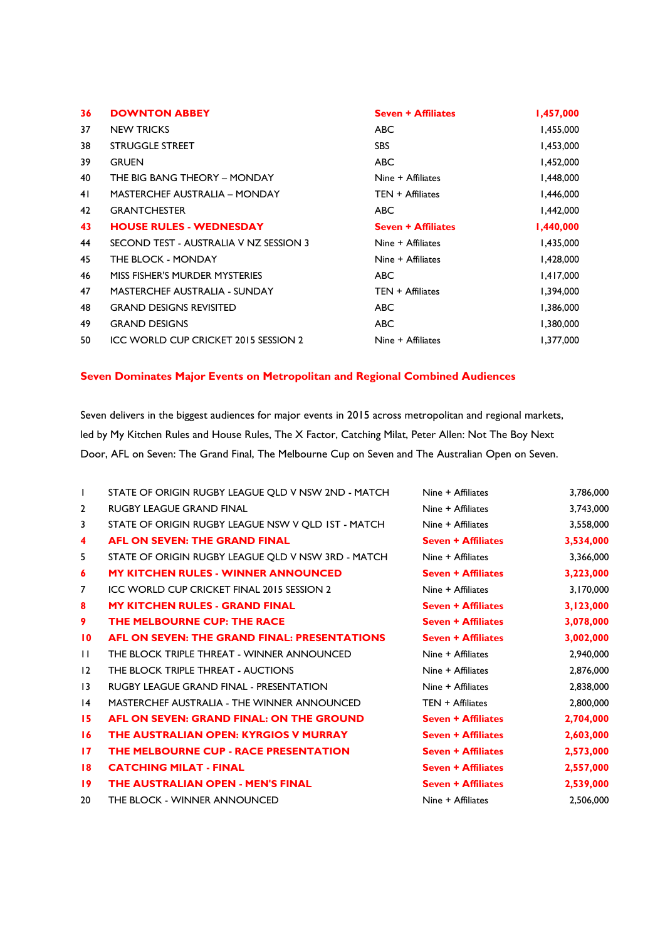| 36 | <b>DOWNTON ABBEY</b>                   | <b>Seven + Affiliates</b> | 1,457,000 |
|----|----------------------------------------|---------------------------|-----------|
| 37 | <b>NEW TRICKS</b>                      | <b>ABC</b>                | 1,455,000 |
| 38 | <b>STRUGGLE STREET</b>                 | <b>SBS</b>                | 1,453,000 |
| 39 | <b>GRUEN</b>                           | ABC                       | 1,452,000 |
| 40 | THE BIG BANG THEORY - MONDAY           | Nine + Affiliates         | 1,448,000 |
| 41 | <b>MASTERCHEF AUSTRALIA - MONDAY</b>   | TEN + Affiliates          | 1,446,000 |
| 42 | <b>GRANTCHESTER</b>                    | <b>ABC</b>                | 1,442,000 |
| 43 | <b>HOUSE RULES - WEDNESDAY</b>         | <b>Seven + Affiliates</b> | 1,440,000 |
| 44 | SECOND TEST - AUSTRALIA V NZ SESSION 3 | Nine + Affiliates         | 1,435,000 |
| 45 | THE BLOCK - MONDAY                     | Nine + Affiliates         | 1,428,000 |
| 46 | MISS FISHER'S MURDER MYSTERIES         | ABC.                      | 1,417,000 |
| 47 | <b>MASTERCHEF AUSTRALIA - SUNDAY</b>   | TEN + Affiliates          | 1,394,000 |
| 48 | <b>GRAND DESIGNS REVISITED</b>         | <b>ABC</b>                | 1,386,000 |
| 49 | <b>GRAND DESIGNS</b>                   | ABC                       | 1,380,000 |
| 50 | ICC WORLD CUP CRICKET 2015 SESSION 2   | Nine + Affiliates         | 1,377,000 |

## **Seven Dominates Major Events on Metropolitan and Regional Combined Audiences**

Seven delivers in the biggest audiences for major events in 2015 across metropolitan and regional markets, led by My Kitchen Rules and House Rules, The X Factor, Catching Milat, Peter Allen: Not The Boy Next Door, AFL on Seven: The Grand Final, The Melbourne Cup on Seven and The Australian Open on Seven.

| $\mathbf{I}$    | STATE OF ORIGIN RUGBY LEAGUE QLD V NSW 2ND - MATCH  | Nine + Affiliates         | 3,786,000 |
|-----------------|-----------------------------------------------------|---------------------------|-----------|
| $\overline{2}$  | <b>RUGBY LEAGUE GRAND FINAL</b>                     | Nine + Affiliates         | 3,743,000 |
| 3               | STATE OF ORIGIN RUGBY LEAGUE NSW V OLD 1ST - MATCH  | Nine + Affiliates         | 3,558,000 |
| 4               | AFL ON SEVEN: THE GRAND FINAL                       | <b>Seven + Affiliates</b> | 3,534,000 |
| 5.              | STATE OF ORIGIN RUGBY LEAGUE QLD V NSW 3RD - MATCH  | Nine + Affiliates         | 3,366,000 |
| 6               | <b>MY KITCHEN RULES - WINNER ANNOUNCED</b>          | <b>Seven + Affiliates</b> | 3,223,000 |
| 7               | ICC WORLD CUP CRICKET FINAL 2015 SESSION 2          | Nine + Affiliates         | 3,170,000 |
| 8               | <b>MY KITCHEN RULES - GRAND FINAL</b>               | <b>Seven + Affiliates</b> | 3,123,000 |
| 9               | THE MELBOURNE CUP: THE RACE                         | <b>Seven + Affiliates</b> | 3,078,000 |
| $\overline{10}$ | <b>AFL ON SEVEN: THE GRAND FINAL: PRESENTATIONS</b> | <b>Seven + Affiliates</b> | 3,002,000 |
| $\mathbf{H}$    | THE BLOCK TRIPLE THREAT - WINNER ANNOUNCED          | Nine + Affiliates         | 2,940,000 |
| 12              | THE BLOCK TRIPLE THREAT - AUCTIONS                  | Nine + Affiliates         | 2,876,000 |
| $\overline{13}$ | <b>RUGBY LEAGUE GRAND FINAL - PRESENTATION</b>      | Nine + Affiliates         | 2,838,000 |
| $\overline{14}$ | <b>MASTERCHEF AUSTRALIA - THE WINNER ANNOUNCED</b>  | $TEN + Affiliates$        | 2,800,000 |
| 15              | AFL ON SEVEN: GRAND FINAL: ON THE GROUND            | <b>Seven + Affiliates</b> | 2,704,000 |
| 16              | THE AUSTRALIAN OPEN: KYRGIOS V MURRAY               | <b>Seven + Affiliates</b> | 2,603,000 |
| 17              | THE MELBOURNE CUP - RACE PRESENTATION               | <b>Seven + Affiliates</b> | 2,573,000 |
| 18              | <b>CATCHING MILAT - FINAL</b>                       | <b>Seven + Affiliates</b> | 2,557,000 |
| 19              | <b>THE AUSTRALIAN OPEN - MEN'S FINAL</b>            | <b>Seven + Affiliates</b> | 2,539,000 |
| 20              | THE BLOCK - WINNER ANNOUNCED                        | Nine + Affiliates         | 2,506,000 |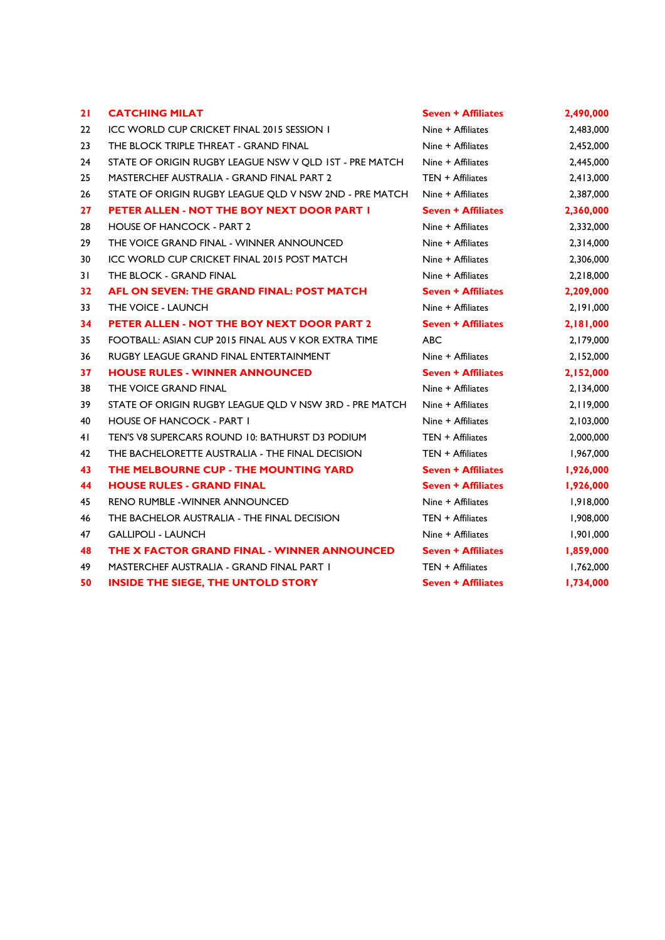| 21 | <b>CATCHING MILAT</b>                                  | <b>Seven + Affiliates</b> | 2,490,000 |
|----|--------------------------------------------------------|---------------------------|-----------|
| 22 | ICC WORLD CUP CRICKET FINAL 2015 SESSION I             | Nine + Affiliates         | 2,483,000 |
| 23 | THE BLOCK TRIPLE THREAT - GRAND FINAL                  | Nine + Affiliates         | 2,452,000 |
| 24 | STATE OF ORIGIN RUGBY LEAGUE NSW V QLD IST - PRE MATCH | Nine + Affiliates         | 2,445,000 |
| 25 | <b>MASTERCHEF AUSTRALIA - GRAND FINAL PART 2</b>       | TEN + Affiliates          | 2,413,000 |
| 26 | STATE OF ORIGIN RUGBY LEAGUE OLD V NSW 2ND - PRE MATCH | Nine + Affiliates         | 2,387,000 |
| 27 | PETER ALLEN - NOT THE BOY NEXT DOOR PART I             | <b>Seven + Affiliates</b> | 2,360,000 |
| 28 | <b>HOUSE OF HANCOCK - PART 2</b>                       | Nine + Affiliates         | 2,332,000 |
| 29 | THE VOICE GRAND FINAL - WINNER ANNOUNCED               | Nine + Affiliates         | 2,314,000 |
| 30 | ICC WORLD CUP CRICKET FINAL 2015 POST MATCH            | Nine + Affiliates         | 2,306,000 |
| 31 | THE BLOCK - GRAND FINAL                                | Nine + Affiliates         | 2,218,000 |
| 32 | AFL ON SEVEN: THE GRAND FINAL: POST MATCH              | <b>Seven + Affiliates</b> | 2,209,000 |
| 33 | THE VOICE - LAUNCH                                     | Nine + Affiliates         | 2,191,000 |
| 34 | PETER ALLEN - NOT THE BOY NEXT DOOR PART 2             | <b>Seven + Affiliates</b> | 2,181,000 |
| 35 | FOOTBALL: ASIAN CUP 2015 FINAL AUS V KOR EXTRA TIME    | ABC                       | 2,179,000 |
| 36 | RUGBY LEAGUE GRAND FINAL ENTERTAINMENT                 | Nine + Affiliates         | 2,152,000 |
| 37 | <b>HOUSE RULES - WINNER ANNOUNCED</b>                  | <b>Seven + Affiliates</b> | 2,152,000 |
| 38 | THE VOICE GRAND FINAL                                  | Nine + Affiliates         | 2,134,000 |
| 39 | STATE OF ORIGIN RUGBY LEAGUE QLD V NSW 3RD - PRE MATCH | Nine + Affiliates         | 2,119,000 |
| 40 | <b>HOUSE OF HANCOCK - PART I</b>                       | Nine + Affiliates         | 2,103,000 |
| 41 | TEN'S V8 SUPERCARS ROUND 10: BATHURST D3 PODIUM        | $TEN + Affiliates$        | 2,000,000 |
| 42 | THE BACHELORETTE AUSTRALIA - THE FINAL DECISION        | $TEN + Affiliates$        | 1,967,000 |
| 43 | THE MELBOURNE CUP - THE MOUNTING YARD                  | <b>Seven + Affiliates</b> | 1,926,000 |
| 44 | <b>HOUSE RULES - GRAND FINAL</b>                       | <b>Seven + Affiliates</b> | 1,926,000 |
| 45 | <b>RENO RUMBLE - WINNER ANNOUNCED</b>                  | Nine + Affiliates         | 1,918,000 |
| 46 | THE BACHELOR AUSTRALIA - THE FINAL DECISION            | $TEN + Affiliates$        | 1,908,000 |
| 47 | <b>GALLIPOLI - LAUNCH</b>                              | Nine + Affiliates         | 1,901,000 |
| 48 | THE X FACTOR GRAND FINAL - WINNER ANNOUNCED            | <b>Seven + Affiliates</b> | 1,859,000 |
| 49 | MASTERCHEF AUSTRALIA - GRAND FINAL PART I              | TEN + Affiliates          | 1,762,000 |
| 50 | <b>INSIDE THE SIEGE, THE UNTOLD STORY</b>              | <b>Seven + Affiliates</b> | 1,734,000 |